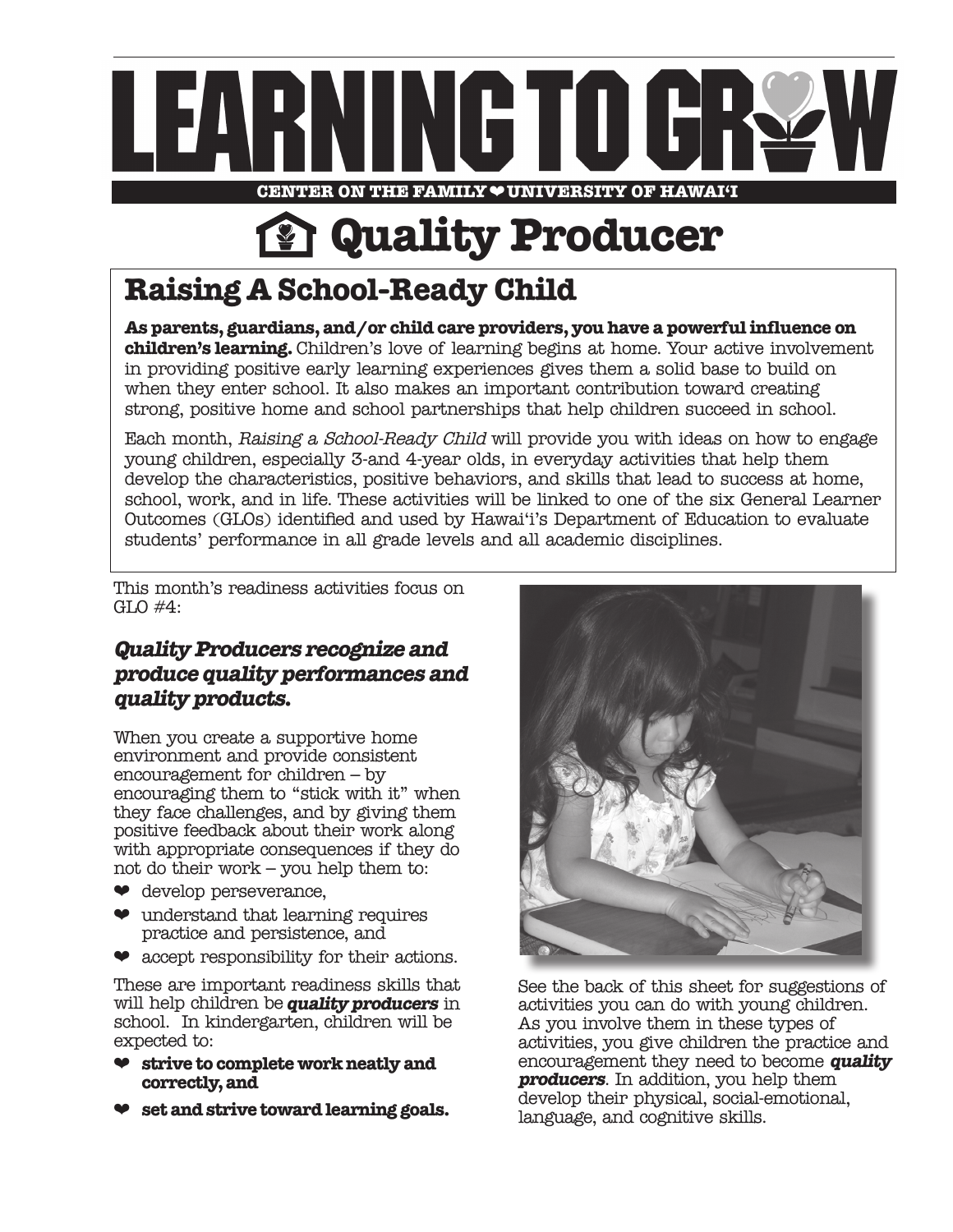

**CENTER ON THE FAMILY**❤**UNIVERSITY OF HAWAI'I**

# **Quality Producer**

# **Raising A School-Ready Child**

**As parents, guardians, and/or child care providers, you have a powerful influence on children's learning.** Children's love of learning begins at home. Your active involvement in providing positive early learning experiences gives them a solid base to build on when they enter school. It also makes an important contribution toward creating strong, positive home and school partnerships that help children succeed in school.

Each month, Raising a School-Ready Child will provide you with ideas on how to engage young children, especially 3-and 4-year olds, in everyday activities that help them develop the characteristics, positive behaviors, and skills that lead to success at home, school, work, and in life. These activities will be linked to one of the six General Learner Outcomes (GLOs) identified and used by Hawai'i's Department of Education to evaluate students' performance in all grade levels and all academic disciplines.

This month's readiness activities focus on GLO #4:

## **Quality Producers recognize and produce quality performances and quality products.**

When you create a supportive home environment and provide consistent encouragement for children – by encouraging them to "stick with it" when they face challenges, and by giving them positive feedback about their work along with appropriate consequences if they do not do their work – you help them to:

- ❤ develop perseverance,
- $\bullet$  understand that learning requires practice and persistence, and
- ❤ accept responsibility for their actions.

These are important readiness skills that will help children be **quality producers** in school. In kindergarten, children will be expected to:

- ❤ **strive to complete work neatly and correctly, and**
- ❤ **set and strive toward learning goals.**



See the back of this sheet for suggestions of activities you can do with young children. As you involve them in these types of activities, you give children the practice and encouragement they need to become **quality producers**. In addition, you help them develop their physical, social-emotional, language, and cognitive skills.